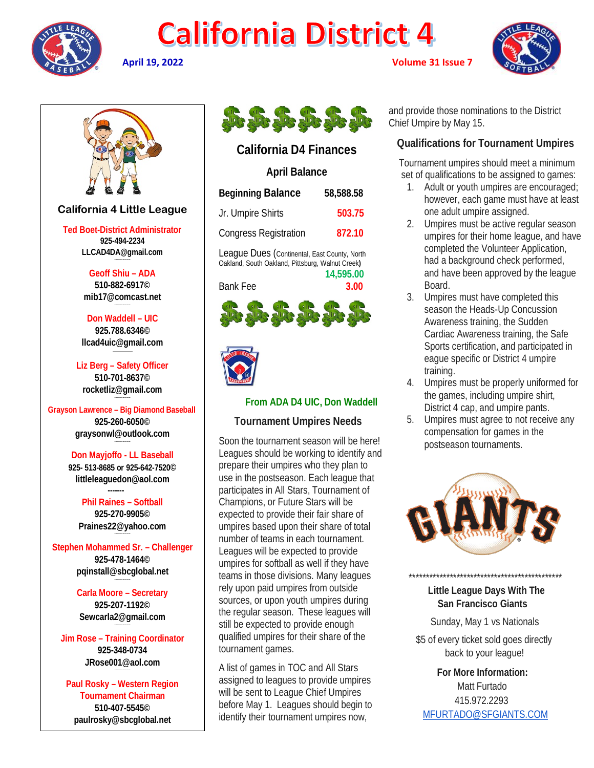

# **California District 4**

**April 19, 2022 Volume 31 Issue 7**





# **California 4 Little League**

**Ted Boet-District Administrator 925-494-2234 LLCAD4DA@gmail.com**

> **Geoff Shiu – ADA 510-882-6917© [mib17@comcast.net](mailto:mib17@comcast.net)**

**Don Waddell – UIC 925.788.6346© [llcad4uic@gmail.com](mailto:llcad4uic@gmail.com)**

**Liz Berg – Safety Officer 510-701-8637© [rocketliz@gmail.com](mailto:rocketliz@gmail.com)**

**Grayson Lawrence – Big Diamond Baseball 925-260-6050© graysonwl@outlook.com**

**--------------------**

**Don Mayjoffo - LL Baseball 925- 513-8685 or 925-642-7520© littleleaguedon@aol.com**

 **------- Phil Raines – Softball 925-270-9905© [Praines22@yahoo.com](mailto:Praines22@yahoo.com)**

**Stephen Mohammed Sr. – Challenger 925-478-1464© [pqinstall@sbcglobal.net](mailto:pqinstall@sbcglobal.net)**

> **Carla Moore – Secretary 925-207-1192© [Sewcarla2@gmail.com](mailto:Sewcarla2@gmail.com)**

**Jim Rose – Training Coordinator 925-348-0734 JRose001@aol.com**

**Paul Rosky – Western Region Tournament Chairman 510-407-5545© [paulrosky@sbcglobal.net](mailto:paulrosky@sbcglobal.net)**



# **California D4 Finances**

# **April Balance**

| Beginning Balance                            | 58,588.58 |
|----------------------------------------------|-----------|
| Jr. Umpire Shirts                            | 503.75    |
| <b>Congress Registration</b>                 | 872.10    |
| League Dues (Continental, East County, North |           |

Oakland, South Oakland, Pittsburg, Walnut Creek**) 14,595.00**

Bank Fee **3.00**





### **From ADA D4 UIC, Don Waddell**

#### **Tournament Umpires Needs**

Soon the tournament season will be here! Leagues should be working to identify and prepare their umpires who they plan to use in the postseason. Each league that participates in All Stars, Tournament of Champions, or Future Stars will be expected to provide their fair share of umpires based upon their share of total number of teams in each tournament. Leagues will be expected to provide umpires for softball as well if they have teams in those divisions. Many leagues rely upon paid umpires from outside sources, or upon youth umpires during the regular season. These leagues will still be expected to provide enough qualified umpires for their share of the tournament games.

A list of games in TOC and All Stars assigned to leagues to provide umpires will be sent to League Chief Umpires before May 1. Leagues should begin to identify their tournament umpires now,

and provide those nominations to the District Chief Umpire by May 15.

# **Qualifications for Tournament Umpires**

 Tournament umpires should meet a minimum set of qualifications to be assigned to games:

- 1. Adult or youth umpires are encouraged; however, each game must have at least one adult umpire assigned.
- 2. Umpires must be active regular season umpires for their home league, and have completed the Volunteer Application, had a background check performed, and have been approved by the league Board.
- 3. Umpires must have completed this season the Heads-Up Concussion Awareness training, the Sudden Cardiac Awareness training, the Safe Sports certification, and participated in eague specific or District 4 umpire training.
- 4. Umpires must be properly uniformed for the games, including umpire shirt, District 4 cap, and umpire pants.
- 5. Umpires must agree to not receive any compensation for games in the postseason tournaments.



 **Little League Days With The San Francisco Giants**

\*\*\*\*\*\*\*\*\*\*\*\*\*\*\*\*\*\*\*\*\*\*\*\*\*\*\*\*\*\*\*\*\*\*\*\*\*\*\*\*\*\*\*\*\*

Sunday, May 1 vs Nationals

 \$5 of every ticket sold goes directly back to your league!

 **For More Information:** Matt Furtado 415.972.2293 [MFURTADO@SFGIANTS.COM](mailto:MFURTADO@SFGIANTS.COM)